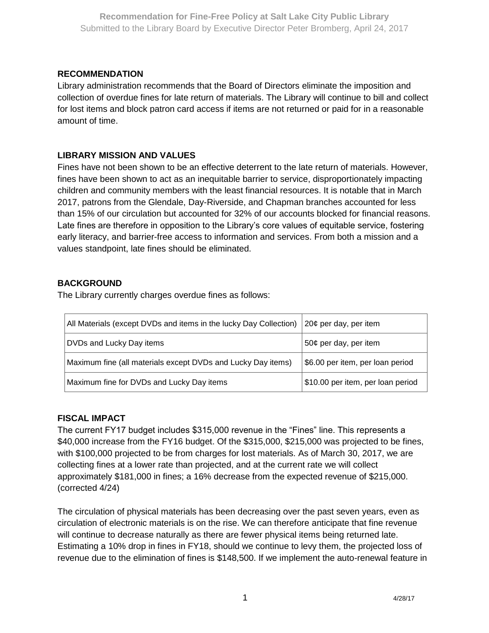## **RECOMMENDATION**

Library administration recommends that the Board of Directors eliminate the imposition and collection of overdue fines for late return of materials. The Library will continue to bill and collect for lost items and block patron card access if items are not returned or paid for in a reasonable amount of time.

## **LIBRARY MISSION AND VALUES**

Fines have not been shown to be an effective deterrent to the late return of materials. However, fines have been shown to act as an inequitable barrier to service, disproportionately impacting children and community members with the least financial resources. It is notable that in March 2017, patrons from the Glendale, Day-Riverside, and Chapman branches accounted for less than 15% of our circulation but accounted for 32% of our accounts blocked for financial reasons. Late fines are therefore in opposition to the Library's core values of equitable service, fostering early literacy, and barrier-free access to information and services. From both a mission and a values standpoint, late fines should be eliminated.

## **BACKGROUND**

The Library currently charges overdue fines as follows:

| All Materials (except DVDs and items in the lucky Day Collection) | 20 $¢$ per day, per item          |
|-------------------------------------------------------------------|-----------------------------------|
| DVDs and Lucky Day items                                          | 50¢ per day, per item             |
| Maximum fine (all materials except DVDs and Lucky Day items)      | \$6.00 per item, per loan period  |
| Maximum fine for DVDs and Lucky Day items                         | \$10.00 per item, per loan period |

# **FISCAL IMPACT**

The current FY17 budget includes \$315,000 revenue in the "Fines" line. This represents a \$40,000 increase from the FY16 budget. Of the \$315,000, \$215,000 was projected to be fines, with \$100,000 projected to be from charges for lost materials. As of March 30, 2017, we are collecting fines at a lower rate than projected, and at the current rate we will collect approximately \$181,000 in fines; a 16% decrease from the expected revenue of \$215,000. (corrected 4/24)

The circulation of physical materials has been decreasing over the past seven years, even as circulation of electronic materials is on the rise. We can therefore anticipate that fine revenue will continue to decrease naturally as there are fewer physical items being returned late. Estimating a 10% drop in fines in FY18, should we continue to levy them, the projected loss of revenue due to the elimination of fines is \$148,500. If we implement the auto-renewal feature in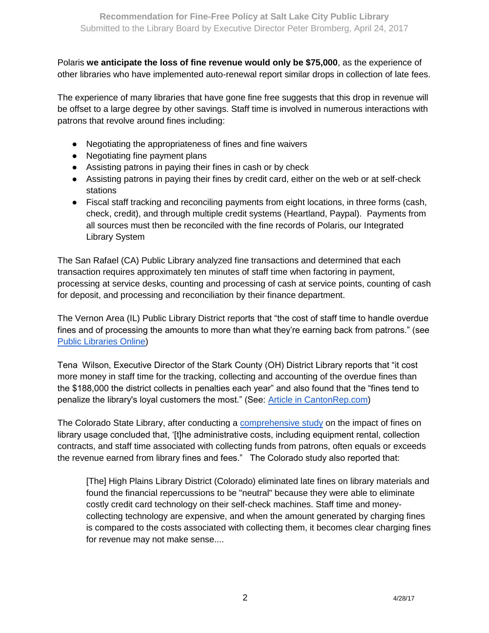Polaris **we anticipate the loss of fine revenue would only be \$75,000**, as the experience of other libraries who have implemented auto-renewal report similar drops in collection of late fees.

The experience of many libraries that have gone fine free suggests that this drop in revenue will be offset to a large degree by other savings. Staff time is involved in numerous interactions with patrons that revolve around fines including:

- Negotiating the appropriateness of fines and fine waivers
- Negotiating fine payment plans
- Assisting patrons in paying their fines in cash or by check
- Assisting patrons in paying their fines by credit card, either on the web or at self-check stations
- Fiscal staff tracking and reconciling payments from eight locations, in three forms (cash, check, credit), and through multiple credit systems (Heartland, Paypal). Payments from all sources must then be reconciled with the fine records of Polaris, our Integrated Library System

The San Rafael (CA) Public Library analyzed fine transactions and determined that each transaction requires approximately ten minutes of staff time when factoring in payment, processing at service desks, counting and processing of cash at service points, counting of cash for deposit, and processing and reconciliation by their finance department.

The Vernon Area (IL) Public Library District reports that "the cost of staff time to handle overdue fines and of processing the amounts to more than what they're earning back from patrons." (see [Public Libraries Online\)](http://publiclibrariesonline.org/2015/11/the-end-of-overdue-fines/)

Tena Wilson, Executive Director of the Stark County (OH) District Library reports that "it cost more money in staff time for the tracking, collecting and accounting of the overdue fines than the \$188,000 the district collects in penalties each year" and also found that the "fines tend to penalize the library's loyal customers the most." (See: [Article in CantonRep.com\)](http://www.cantonrep.com/article/20140724/NEWS/140729559)

The Colorado State Library, after conducting a [comprehensive study](http://spellproject.weebly.com/uploads/1/5/3/3/15331602/spellwhitepaperfinal.pdf) on the impact of fines on library usage concluded that, '[t]he administrative costs, including equipment rental, collection contracts, and staff time associated with collecting funds from patrons, often equals or exceeds the revenue earned from library fines and fees." The Colorado study also reported that:

[The] High Plains Library District (Colorado) eliminated late fines on library materials and found the financial repercussions to be "neutral" because they were able to eliminate costly credit card technology on their self-check machines. Staff time and moneycollecting technology are expensive, and when the amount generated by charging fines is compared to the costs associated with collecting them, it becomes clear charging fines for revenue may not make sense....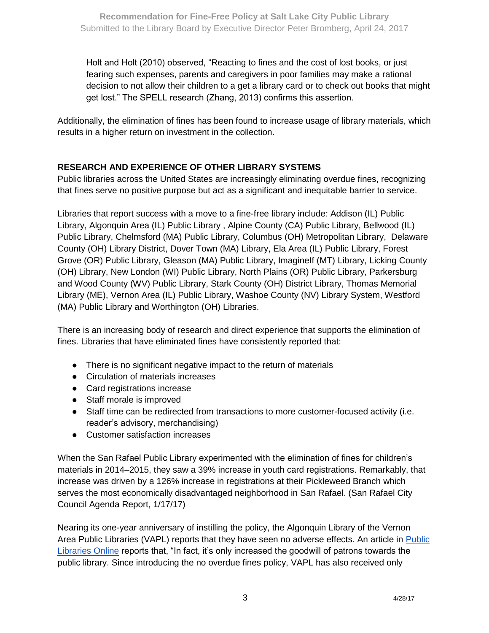Holt and Holt (2010) observed, "Reacting to fines and the cost of lost books, or just fearing such expenses, parents and caregivers in poor families may make a rational decision to not allow their children to a get a library card or to check out books that might get lost." The SPELL research (Zhang, 2013) confirms this assertion.

Additionally, the elimination of fines has been found to increase usage of library materials, which results in a higher return on investment in the collection.

# **RESEARCH AND EXPERIENCE OF OTHER LIBRARY SYSTEMS**

Public libraries across the United States are increasingly eliminating overdue fines, recognizing that fines serve no positive purpose but act as a significant and inequitable barrier to service.

Libraries that report success with a move to a fine-free library include: Addison (IL) Public Library, Algonquin Area (IL) Public Library , Alpine County (CA) Public Library, Bellwood (IL) Public Library, Chelmsford (MA) Public Library, Columbus (OH) Metropolitan Library, Delaware County (OH) Library District, Dover Town (MA) Library, Ela Area (IL) Public Library, Forest Grove (OR) Public Library, Gleason (MA) Public Library, ImagineIf (MT) Library, Licking County (OH) Library, New London (WI) Public Library, North Plains (OR) Public Library, Parkersburg and Wood County (WV) Public Library, Stark County (OH) District Library, Thomas Memorial Library (ME), Vernon Area (IL) Public Library, Washoe County (NV) Library System, Westford (MA) Public Library and Worthington (OH) Libraries.

There is an increasing body of research and direct experience that supports the elimination of fines. Libraries that have eliminated fines have consistently reported that:

- There is no significant negative impact to the return of materials
- Circulation of materials increases
- Card registrations increase
- Staff morale is improved
- Staff time can be redirected from transactions to more customer-focused activity (i.e. reader's advisory, merchandising)
- Customer satisfaction increases

When the San Rafael Public Library experimented with the elimination of fines for children's materials in 2014–2015, they saw a 39% increase in youth card registrations. Remarkably, that increase was driven by a 126% increase in registrations at their Pickleweed Branch which serves the most economically disadvantaged neighborhood in San Rafael. (San Rafael City Council Agenda Report, 1/17/17)

Nearing its one-year anniversary of instilling the policy, the Algonquin Library of the Vernon Area Public Libraries (VAPL) reports that they have seen no adverse effects. An article in [Public](http://publiclibrariesonline.org/2015/11/the-end-of-overdue-fines/)  [Libraries Online](http://publiclibrariesonline.org/2015/11/the-end-of-overdue-fines/) reports that, "In fact, it's only increased the goodwill of patrons towards the public library. Since introducing the no overdue fines policy, VAPL has also received only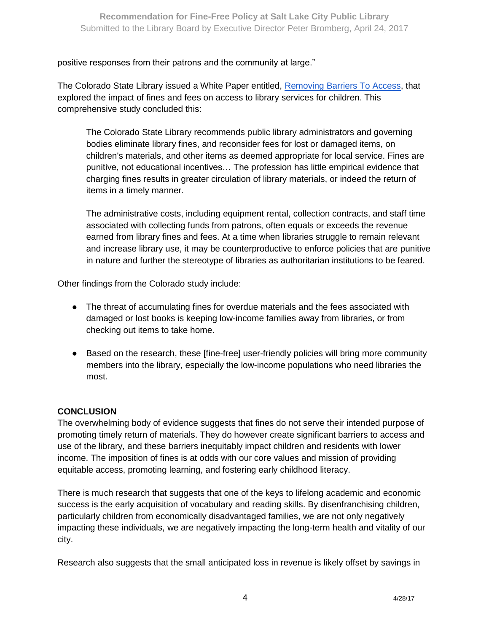positive responses from their patrons and the community at large."

The Colorado State Library issued a White Paper entitled, [Removing Barriers To Access,](http://spellproject.weebly.com/uploads/1/5/3/3/15331602/spellwhitepaperfinal.pdf) that explored the impact of fines and fees on access to library services for children. This comprehensive study concluded this:

The Colorado State Library recommends public library administrators and governing bodies eliminate library fines, and reconsider fees for lost or damaged items, on children's materials, and other items as deemed appropriate for local service. Fines are punitive, not educational incentives… The profession has little empirical evidence that charging fines results in greater circulation of library materials, or indeed the return of items in a timely manner.

The administrative costs, including equipment rental, collection contracts, and staff time associated with collecting funds from patrons, often equals or exceeds the revenue earned from library fines and fees. At a time when libraries struggle to remain relevant and increase library use, it may be counterproductive to enforce policies that are punitive in nature and further the stereotype of libraries as authoritarian institutions to be feared.

Other findings from the Colorado study include:

- The threat of accumulating fines for overdue materials and the fees associated with damaged or lost books is keeping low-income families away from libraries, or from checking out items to take home.
- Based on the research, these [fine-free] user-friendly policies will bring more community members into the library, especially the low-income populations who need libraries the most.

#### **CONCLUSION**

The overwhelming body of evidence suggests that fines do not serve their intended purpose of promoting timely return of materials. They do however create significant barriers to access and use of the library, and these barriers inequitably impact children and residents with lower income. The imposition of fines is at odds with our core values and mission of providing equitable access, promoting learning, and fostering early childhood literacy.

There is much research that suggests that one of the keys to lifelong academic and economic success is the early acquisition of vocabulary and reading skills. By disenfranchising children, particularly children from economically disadvantaged families, we are not only negatively impacting these individuals, we are negatively impacting the long-term health and vitality of our city.

Research also suggests that the small anticipated loss in revenue is likely offset by savings in